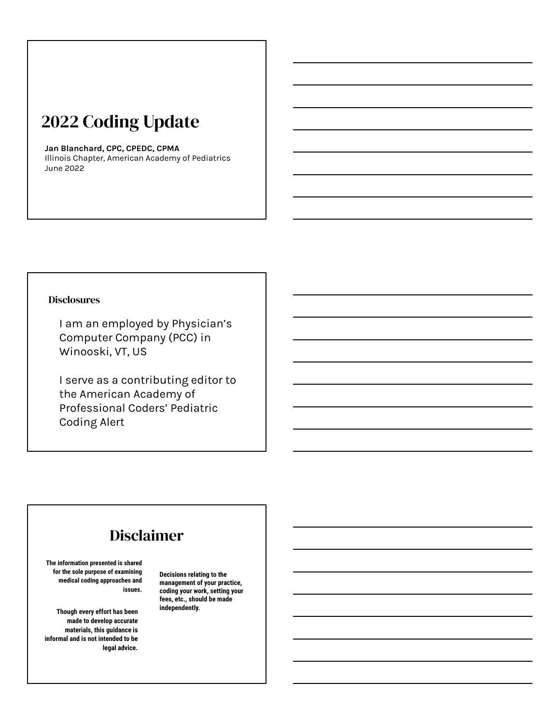# 2022 Coding Update

#### **Jan Blanchard, CPC, CPEDC, CPMA**

Illinois Chapter, American Academy of Pediatrics June 2022

#### **Disclosures**

I am an employed by Physician's Computer Company (PCC) in Winooski, VT, US

I serve as a contributing editor to the American Academy of Professional Coders' Pediatric Coding Alert

# Disclaimer

**The information presented is shared for the sole purpose of examining medical coding approaches and issues.** 

**independently. Though every effort has been made to develop accurate materials, this guidance is informal and is not intended to be legal advice.** 

**Decisions relating to the management of your practice, coding your work, setting your fees, etc., should be made**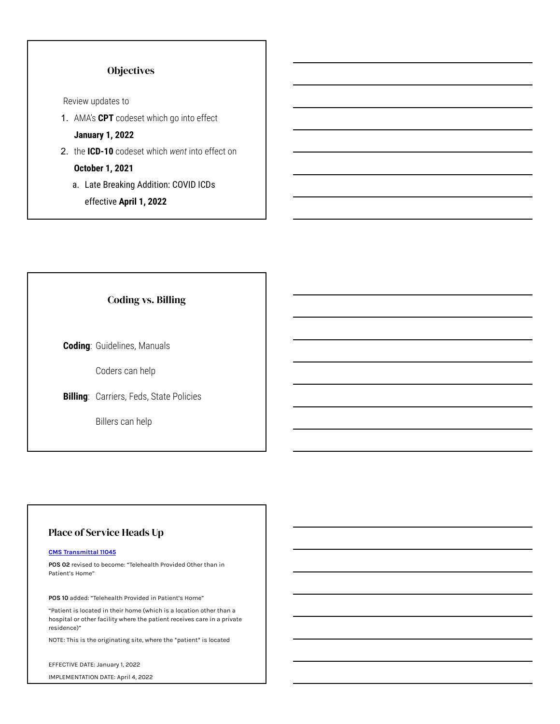### **Objectives**

Review updates to

- 1. AMA's **CPT** codeset which go into effect **January 1, 2022**
- 2. the **ICD-10** codeset which *went* into effect on

**October 1, 2021**

a. Late Breaking Addition: COVID ICDs effective **April 1, 2022**

Coding vs. Billing

**Coding**: Guidelines, Manuals

Coders can help

**Billing**: Carriers, Feds, State Policies

Billers can help

### Place of Service Heads Up

#### **[CMS Transmittal 11045](https://www.cms.gov/files/document/R11045CP.pdf)**

**POS 02** revised to become: "Telehealth Provided Other than in Patient's Home"

**POS 10** added: "Telehealth Provided in Patient's Home"

"Patient is located in their home (which is a location other than a hospital or other facility where the patient receives care in a private residence)"

NOTE: This is the originating site, where the \*patient\* is located

EFFECTIVE DATE: January 1, 2022

IMPLEMENTATION DATE: April 4, 2022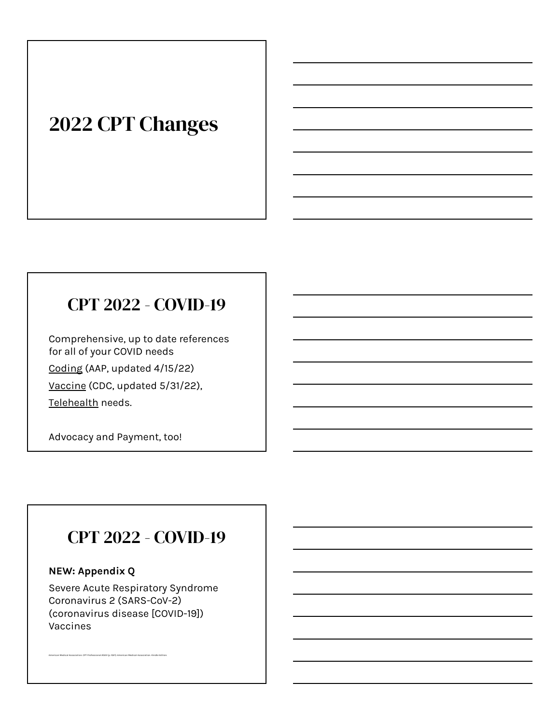# 2022 CPT Changes

# CPT 2022 - COVID-19

Comprehensive, up to date references for all of your COVID needs [Coding](https://downloads.aap.org/AAP/PDF/COVID%202020.pdf) (AAP, updated 4/15/22) V[accine](https://www.aap.org/en/pages/2019-novel-coronavirus-covid-19-infections/covid-19-vaccine-for-children/covid-19-vaccine-administration-getting-paid/) (CDC, updated 5/31/22), [Telehealth](https://www.aap.org/en/pages/2019-novel-coronavirus-covid-19-infections/help-for-pediatricians/telehealth-payer-policy-in-response-to-covid-19/) needs.

Advocacy and Payment, too!

# CPT 2022 - COVID-19

# **NEW: Appendix Q**

American Medical Association. CPT Professional 2022 (p. 1021). American Medical Association. Kindle Edition.

Severe Acute Respiratory Syndrome Coronavirus 2 (SARS-CoV-2) (coronavirus disease [COVID-19]) Vaccines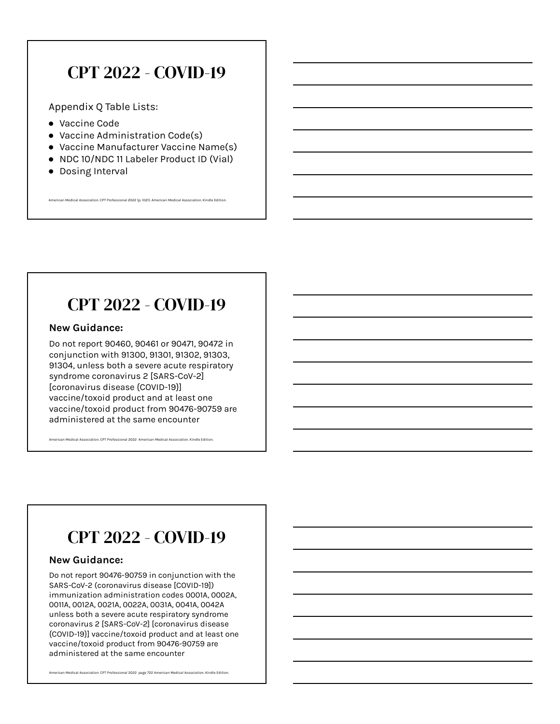# CPT 2022 - COVID-19

Appendix Q Table Lists:

- Vaccine Code
- Vaccine Administration Code(s)
- Vaccine Manufacturer Vaccine Name(s)
- NDC 10/NDC 11 Labeler Product ID (Vial)

.<br>Americal Association. CPT Professional 2022 (p. 1021). American Medical Association. Kindle Edition. Santion.

● Dosing Interval

# CPT 2022 - COVID-19

#### **New Guidance:**

Do not report 90460, 90461 or 90471, 90472 in conjunction with 91300, 91301, 91302, 91303, 91304, unless both a severe acute respiratory syndrome coronavirus 2 [SARS-CoV-2] [coronavirus disease {COVID-19}] vaccine/toxoid product and at least one vaccine/toxoid product from 90476-90759 are administered at the same encounter

.<br>Iation. CPT Professional 2022 American Medical Association. Kindle Editio

# CPT 2022 - COVID-19

#### **New Guidance:**

Do not report 90476-90759 in conjunction with the SARS-CoV-2 (coronavirus disease [COVID-19]) immunization administration codes 0001A, 0002A, 0011A, 0012A, 0021A, 0022A, 0031A, 0041A, 0042A unless both a severe acute respiratory syndrome coronavirus 2 [SARS-CoV-2] [coronavirus disease {COVID-19}] vaccine/toxoid product and at least one vaccine/toxoid product from 90476-90759 are administered at the same encounter

American Medical Association. CPT Professional 2022 page 722 American Medical Association. Kindle Edition.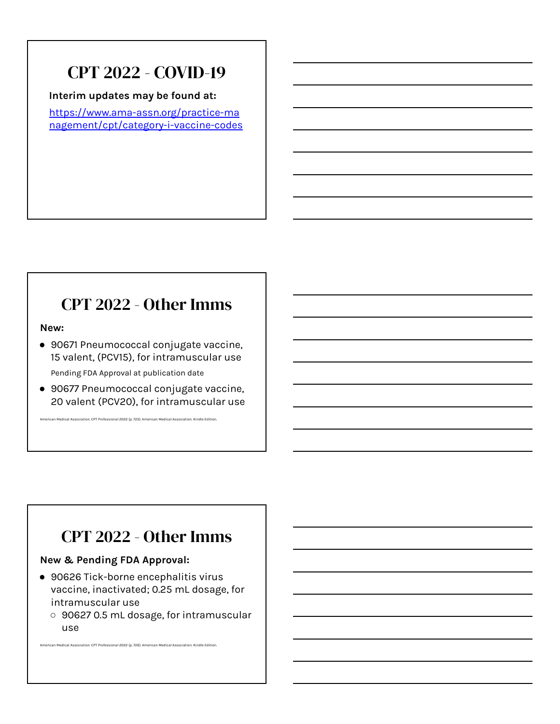# CPT 2022 - COVID-19

**Interim updates may be found at:**

[https://www.ama-assn.org/practice-ma](https://www.ama-assn.org/practice-management/cpt/category-i-vaccine-codes) [nagement/cpt/category-i-vaccine-codes](https://www.ama-assn.org/practice-management/cpt/category-i-vaccine-codes)

# CPT 2022 - Other Imms

**New:**

- 90671 Pneumococcal conjugate vaccine, 15 valent, (PCV15), for intramuscular use Pending FDA Approval at publication date
- 90677 Pneumococcal conjugate vaccine, 20 valent (PCV20), for intramuscular use

American Medical Association. CPT Professional 2022 (p. 725). American Medical Association. Kindle Edition.

# CPT 2022 - Other Imms

### **New & Pending FDA Approval:**

● 90626 Tick-borne encephalitis virus vaccine, inactivated; 0.25 mL dosage, for intramuscular use

American Medical Association. CPT Professional 2022 (p. 726). American Medical Association. Kindle Edition.

○ 90627 0.5 mL dosage, for intramuscular use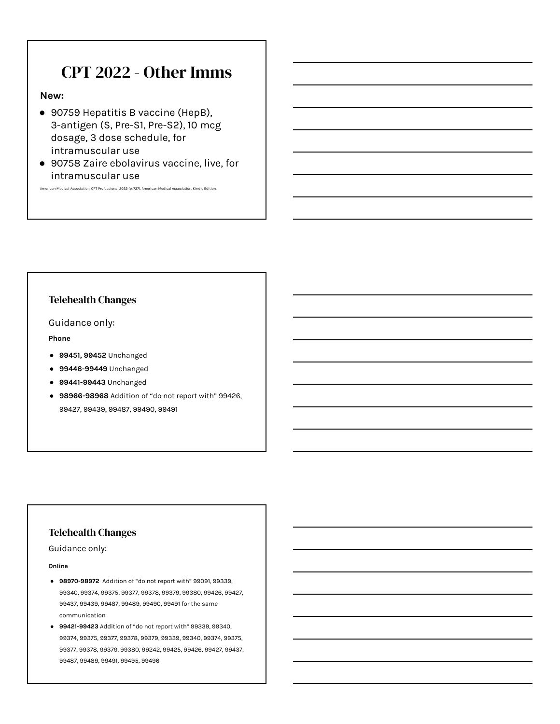# CPT 2022 - Other Imms

#### **New:**

- 90759 Hepatitis B vaccine (HepB), 3-antigen (S, Pre-S1, Pre-S2), 10 mcg dosage, 3 dose schedule, for intramuscular use
- 90758 Zaire ebolavirus vaccine, live, for intramuscular use

.<br>Americal Association. CPT Professional 2022 (p. 727). American Medical Association. Kindle Edition.

#### Telehealth Changes

Guidance only:

**Phone**

- **● 99451, 99452** Unchanged
- **● 99446-99449** Unchanged
- **● 99441-99443** Unchanged
- **● 98966-98968** Addition of "do not report with" 99426, 99427, 99439, 99487, 99490, 99491

#### Telehealth Changes

Guidance only:

**Online**

- **● 98970-98972** Addition of "do not report with" 99091, 99339, 99340, 99374, 99375, 99377, 99378, 99379, 99380, 99426, 99427, 99437, 99439, 99487, 99489, 99490, 99491 for the same communication
- **● 99421-99423** Addition of "do not report with" 99339, 99340, 99374, 99375, 99377, 99378, 99379, 99339, 99340, 99374, 99375, 99377, 99378, 99379, 99380, 99242, 99425, 99426, 99427, 99437, 99487, 99489, 99491, 99495, 99496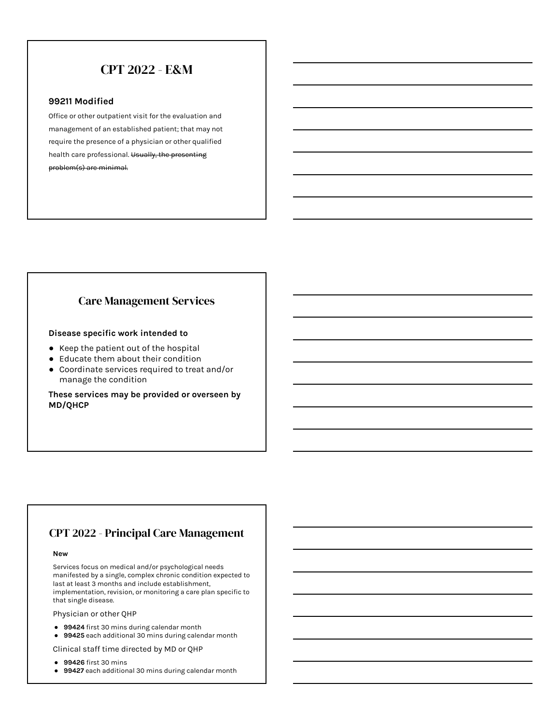# CPT 2022 - E&M

#### **99211 Modified**

Office or other outpatient visit for the evaluation and management of an established patient; that may not require the presence of a physician or other qualified health care professional. Usually, the presenting problem(s) are minimal.

#### Care Management Services

#### **Disease specific work intended to**

- Keep the patient out of the hospital
- Educate them about their condition
- Coordinate services required to treat and/or manage the condition

**These services may be provided or overseen by MD/QHCP**

# CPT 2022 - Principal Care Management

#### **New**

Services focus on medical and/or psychological needs manifested by a single, complex chronic condition expected to last at least 3 months and include establishment, implementation, revision, or monitoring a care plan specific to that single disease.

Physician or other QHP

- **99424** first 30 mins during calendar month
- **99425** each additional 30 mins during calendar month

Clinical staff time directed by MD or QHP

- **99426** first 30 mins
- **99427** each additional 30 mins during calendar month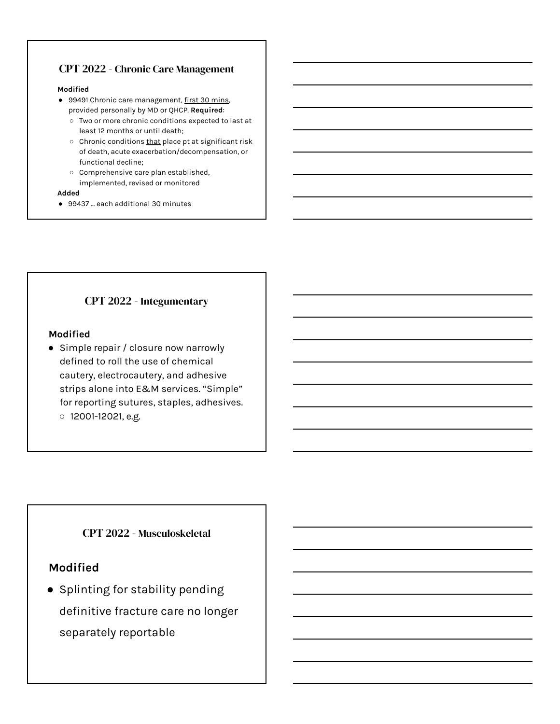# CPT 2022 - Chronic Care Management

#### **Modified**

- 99491 Chronic care management, first 30 mins, provided personally by MD or QHCP. **Required**:
	- Two or more chronic conditions expected to last at least 12 months or until death;
	- Chronic conditions that place pt at significant risk of death, acute exacerbation/decompensation, or functional decline;
	- Comprehensive care plan established, implemented, revised or monitored

#### **Added**

● 99437 ... each additional 30 minutes

# CPT 2022 - Integumentary

### **Modified**

● Simple repair / closure now narrowly defined to roll the use of chemical cautery, electrocautery, and adhesive strips alone into E&M services. "Simple" for reporting sutures, staples, adhesives. ○ 12001-12021, e.g.

# CPT 2022 - Musculoskeletal

# **Modified**

● Splinting for stability pending definitive fracture care no longer separately reportable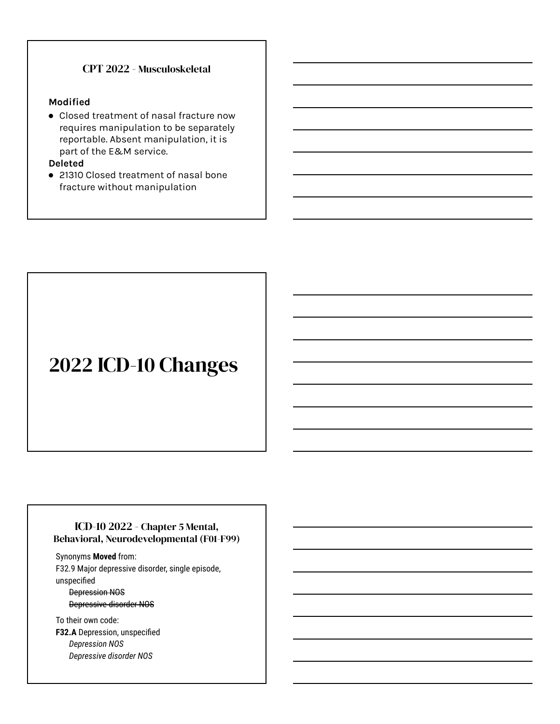## CPT 2022 - Musculoskeletal

#### **Modified**

● Closed treatment of nasal fracture now requires manipulation to be separately reportable. Absent manipulation, it is part of the E&M service.

#### **Deleted**

● 21310 Closed treatment of nasal bone fracture without manipulation

# 2022 ICD-10 Changes

### ICD-10 2022 - Chapter 5 Mental, Behavioral, Neurodevelopmental (F01-F99)

Synonyms **Moved** from: F32.9 Major depressive disorder, single episode, unspecified

#### Depression NOS Depressive disorder NOS

To their own code: **F32.A** Depression, unspecified *Depression NOS Depressive disorder NOS*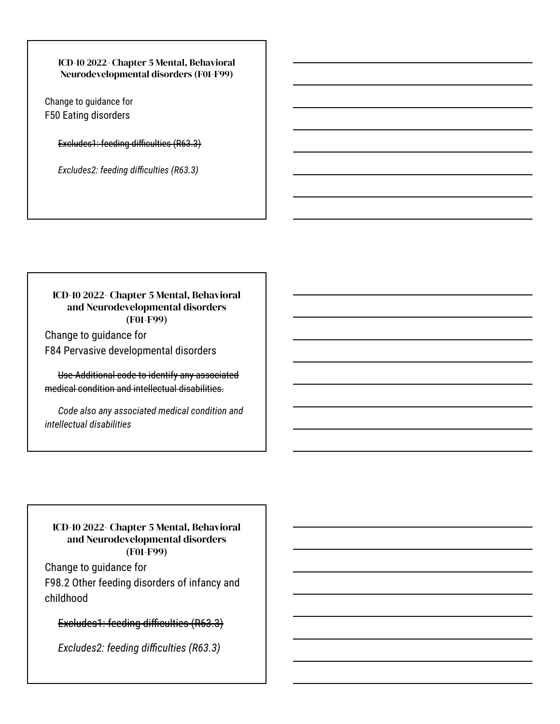ICD-10 2022- Chapter 5 Mental, Behavioral Neurodevelopmental disorders (F01-F99)

Change to guidance for F50 Eating disorders

Excludes1: feeding difficulties (R63.3)

*Excludes2: feeding difficulties (R63.3)*

# ICD-10 2022- Chapter 5 Mental, Behavioral and Neurodevelopmental disorders (F01-F99)

Change to guidance for F84 Pervasive developmental disorders

Use Additional code to identify any associated medical condition and intellectual disabilities.

*Code also any associated medical condition and intellectual disabilities*

### ICD-10 2022- Chapter 5 Mental, Behavioral and Neurodevelopmental disorders (F01-F99)

Change to guidance for F98.2 Other feeding disorders of infancy and childhood

# Excludes1: feeding difficulties (R63.3)

*Excludes2: feeding difficulties (R63.3)*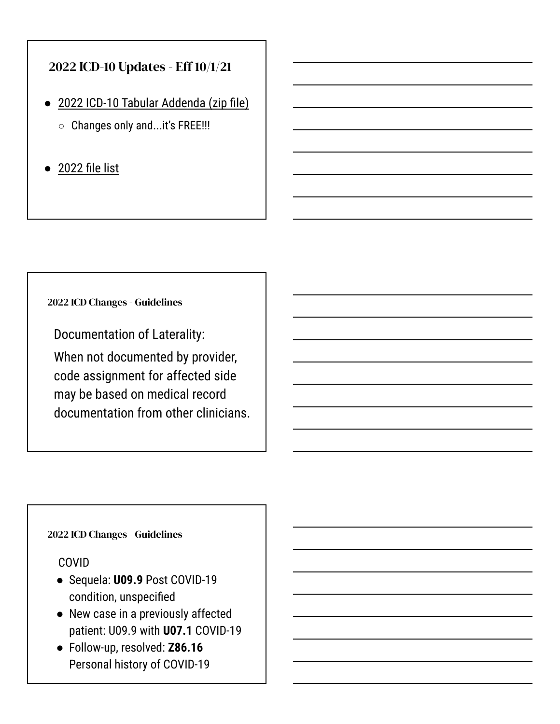# 2022 ICD-10 Updates - Eff 10/1/21

- [2022 ICD-10 Tabular Addenda \(zip file\)](https://ftp.cdc.gov/pub/Health_Statistics/NCHS/Publications/ICD10CM/2022/Addendum%20zip.zip)
	- Changes only and...it's FREE!!!
- [2022 file list](https://ftp.cdc.gov/pub/Health_Statistics/NCHS/Publications/ICD10CM/2022/)

2022 ICD Changes - Guidelines

Documentation of Laterality: When not documented by provider, code assignment for affected side may be based on medical record documentation from other clinicians.

# 2022 ICD Changes - Guidelines

# COVID

- Sequela: **U09.9** Post COVID-19 condition, unspecified
- New case in a previously affected patient: U09.9 with **U07.1** COVID-19
- Follow-up, resolved: **Z86.16** Personal history of COVID-19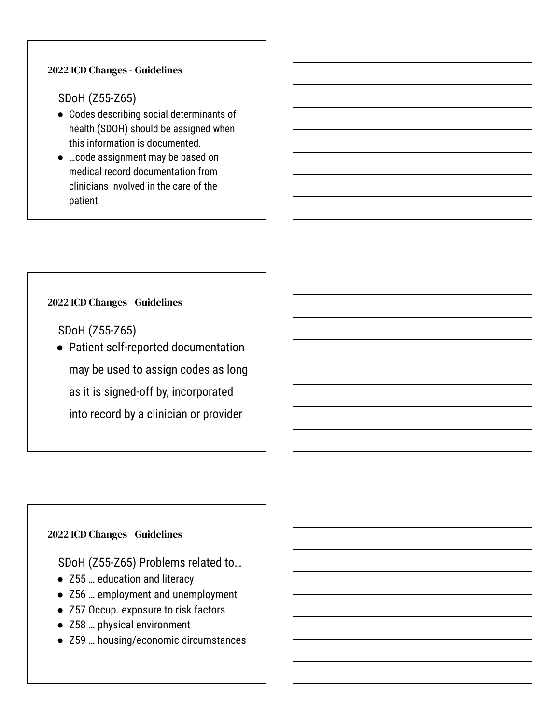# 2022 ICD Changes - Guidelines

# SDoH (Z55-Z65)

- Codes describing social determinants of health (SDOH) should be assigned when this information is documented.
- …code assignment may be based on medical record documentation from clinicians involved in the care of the patient

# 2022 ICD Changes - Guidelines

SDoH (Z55-Z65)

● Patient self-reported documentation may be used to assign codes as long as it is signed-off by, incorporated into record by a clinician or provider

# 2022 ICD Changes - Guidelines

SDoH (Z55-Z65) Problems related to…

- Z55 ... education and literacy
- Z56 … employment and unemployment
- Z57 Occup. exposure to risk factors
- Z58 … physical environment
- Z59 … housing/economic circumstances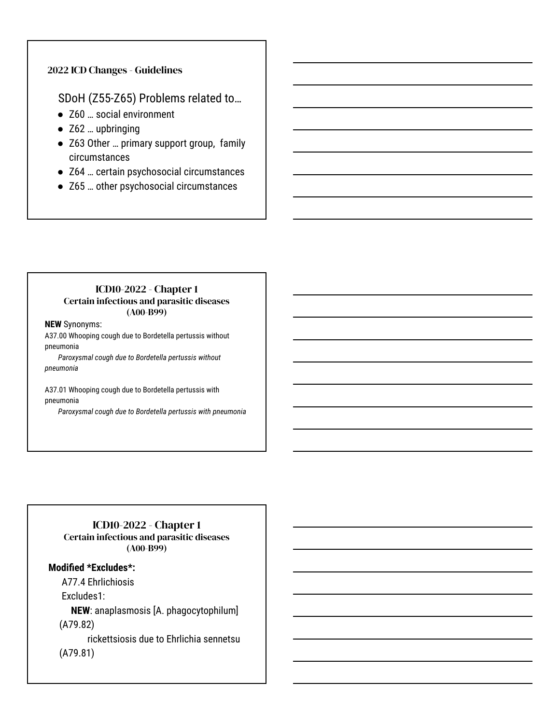### 2022 ICD Changes - Guidelines

# SDoH (Z55-Z65) Problems related to…

- Z60 ... social environment
- Z62 ... upbringing
- Z63 Other … primary support group, family circumstances
- Z64 ... certain psychosocial circumstances
- Z65 … other psychosocial circumstances

### ICD10-2022 - Chapter 1 Certain infectious and parasitic diseases (A00-B99)

#### **NEW** Synonyms:

A37.00 Whooping cough due to Bordetella pertussis without pneumonia

*Paroxysmal cough due to Bordetella pertussis without pneumonia*

A37.01 Whooping cough due to Bordetella pertussis with pneumonia

*Paroxysmal cough due to Bordetella pertussis with pneumonia*

### ICD10-2022 - Chapter 1 Certain infectious and parasitic diseases (A00-B99)

### **Modified \*Excludes\*:**

A77.4 Ehrlichiosis

Excludes1:

 **NEW**: anaplasmosis [A. phagocytophilum] (A79.82)

 rickettsiosis due to Ehrlichia sennetsu (A79.81)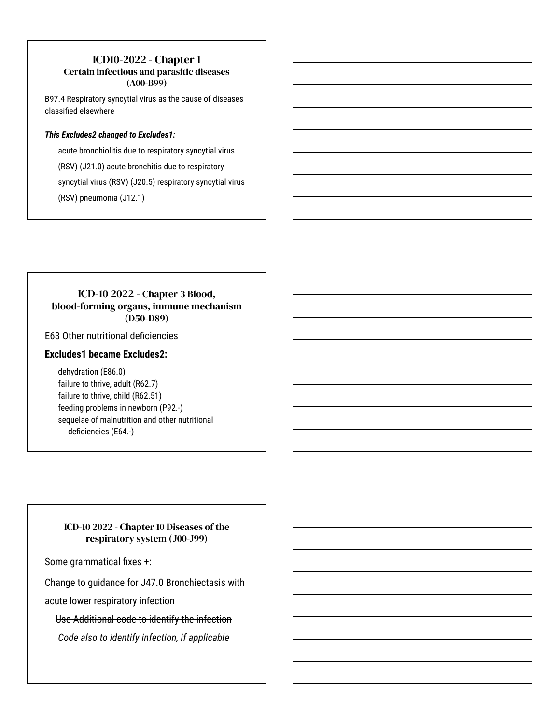# ICD10-2022 - Chapter 1

### Certain infectious and parasitic diseases (A00-B99)

B97.4 Respiratory syncytial virus as the cause of diseases classified elsewhere

#### *This Excludes2 changed to Excludes1:*

acute bronchiolitis due to respiratory syncytial virus (RSV) (J21.0) acute bronchitis due to respiratory syncytial virus (RSV) (J20.5) respiratory syncytial virus (RSV) pneumonia (J12.1)

## ICD-10 2022 - Chapter 3 Blood, blood-forming organs, immune mechanism (D50-D89)

E63 Other nutritional deficiencies

### **Excludes1 became Excludes2:**

dehydration (E86.0) failure to thrive, adult (R62.7) failure to thrive, child (R62.51) feeding problems in newborn (P92.-) sequelae of malnutrition and other nutritional deficiencies (E64.-)

### ICD-10 2022 - Chapter 10 Diseases of the respiratory system (J00-J99)

Some grammatical fixes +:

Change to guidance for J47.0 Bronchiectasis with

acute lower respiratory infection

Use Additional code to identify the infection

*Code also to identify infection, if applicable*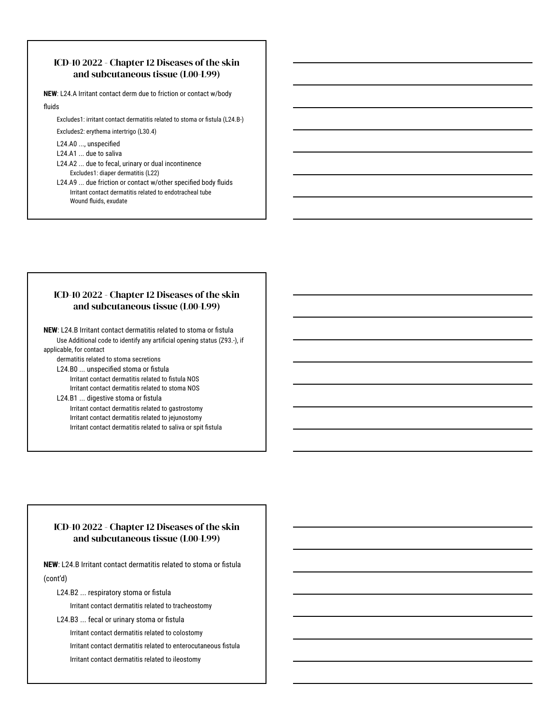#### ICD-10 2022 - Chapter 12 Diseases of the skin and subcutaneous tissue (L00-L99)

**NEW**: L24.A Irritant contact derm due to friction or contact w/body fluids

Excludes1: irritant contact dermatitis related to stoma or fistula (L24.B-) Excludes2: erythema intertrigo (L30.4)

L24.A0 ..., unspecified

- L24.A1 ... due to saliva
- L24.A2 ... due to fecal, urinary or dual incontinence Excludes1: diaper dermatitis (L22)
- L24.A9 ... due friction or contact w/other specified body fluids Irritant contact dermatitis related to endotracheal tube Wound fluids, exudate

#### ICD-10 2022 - Chapter 12 Diseases of the skin and subcutaneous tissue (L00-L99)

**NEW**: L24.B Irritant contact dermatitis related to stoma or fistula Use Additional code to identify any artificial opening status (Z93.-), if applicable, for contact

dermatitis related to stoma secretions

L24.B0 ... unspecified stoma or fistula Irritant contact dermatitis related to fistula NOS Irritant contact dermatitis related to stoma NOS

#### L24.B1 ... digestive stoma or fistula Irritant contact dermatitis related to gastrostomy Irritant contact dermatitis related to jejunostomy Irritant contact dermatitis related to saliva or spit fistula

### ICD-10 2022 - Chapter 12 Diseases of the skin and subcutaneous tissue (L00-L99)

**NEW**: L24.B Irritant contact dermatitis related to stoma or fistula (cont'd)

L24.B2 ... respiratory stoma or fistula

Irritant contact dermatitis related to tracheostomy

L24.B3 ... fecal or urinary stoma or fistula

Irritant contact dermatitis related to colostomy

Irritant contact dermatitis related to enterocutaneous fistula

Irritant contact dermatitis related to ileostomy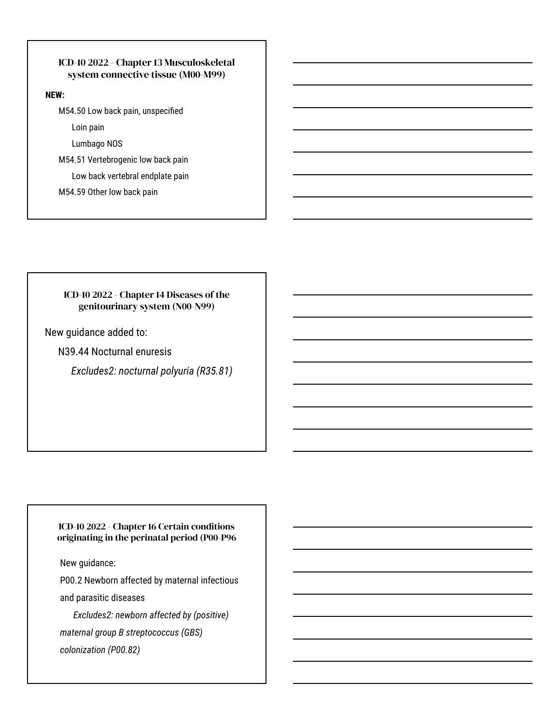## ICD-10 2022 - Chapter 13 Musculoskeletal system connective tissue (M00-M99)

#### **NEW:**

M54.50 Low back pain, unspecified

Loin pain

Lumbago NOS

M54.51 Vertebrogenic low back pain

Low back vertebral endplate pain

M54.59 Other low back pain

#### ICD-10 2022 - Chapter 14 Diseases of the genitourinary system (N00-N99)

New guidance added to:

N39.44 Nocturnal enuresis

*Excludes2: nocturnal polyuria (R35.81)*

#### ICD-10 2022 - Chapter 16 Certain conditions originating in the perinatal period (P00-P96

New guidance:

P00.2 Newborn affected by maternal infectious

and parasitic diseases

*Excludes2: newborn affected by (positive) maternal group B streptococcus (GBS) colonization (P00.82)*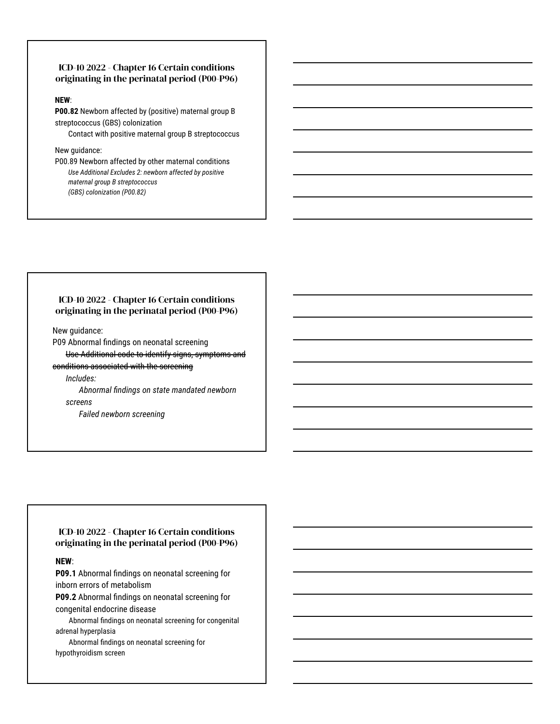#### ICD-10 2022 - Chapter 16 Certain conditions originating in the perinatal period (P00-P96)

#### **NEW**:

**P00.82** Newborn affected by (positive) maternal group B streptococcus (GBS) colonization

Contact with positive maternal group B streptococcus

#### New guidance:

P00.89 Newborn affected by other maternal conditions *Use Additional Excludes 2: newborn affected by positive maternal group B streptococcus (GBS) colonization (P00.82)*

#### ICD-10 2022 - Chapter 16 Certain conditions originating in the perinatal period (P00-P96)

New guidance:

P09 Abnormal findings on neonatal screening

Use Additional code to identify signs, symptoms and

conditions associated with the screening

*Includes:* 

*Abnormal findings on state mandated newborn screens*

*Failed newborn screening*

#### ICD-10 2022 - Chapter 16 Certain conditions originating in the perinatal period (P00-P96)

#### **NEW**:

**P09.1** Abnormal findings on neonatal screening for inborn errors of metabolism

**P09.2** Abnormal findings on neonatal screening for congenital endocrine disease

Abnormal findings on neonatal screening for congenital adrenal hyperplasia

Abnormal findings on neonatal screening for hypothyroidism screen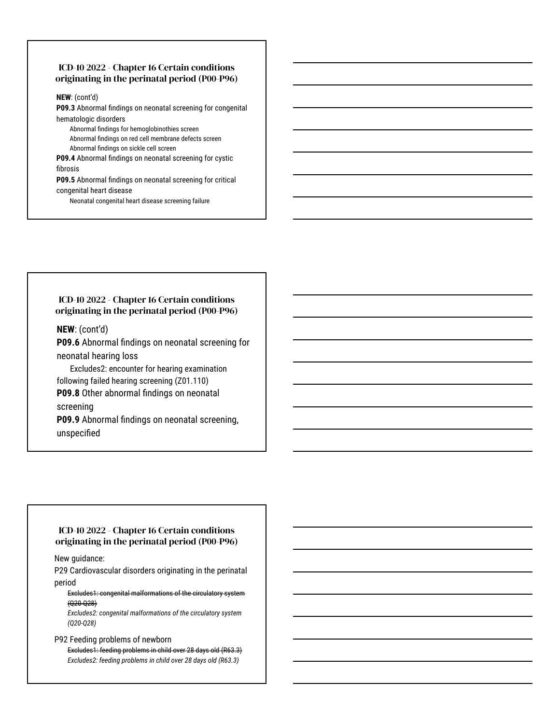#### ICD-10 2022 - Chapter 16 Certain conditions originating in the perinatal period (P00-P96)

**NEW**: (cont'd)

**P09.3** Abnormal findings on neonatal screening for congenital hematologic disorders

Abnormal findings for hemoglobinothies screen Abnormal findings on red cell membrane defects screen

Abnormal findings on sickle cell screen

**P09.4** Abnormal findings on neonatal screening for cystic fibrosis

**P09.5** Abnormal findings on neonatal screening for critical

congenital heart disease

Neonatal congenital heart disease screening failure

#### ICD-10 2022 - Chapter 16 Certain conditions originating in the perinatal period (P00-P96)

**NEW**: (cont'd)

**P09.6** Abnormal findings on neonatal screening for neonatal hearing loss

Excludes2: encounter for hearing examination following failed hearing screening (Z01.110)

**P09.8** Other abnormal findings on neonatal

screening

**P09.9** Abnormal findings on neonatal screening, unspecified

#### ICD-10 2022 - Chapter 16 Certain conditions originating in the perinatal period (P00-P96)

New guidance:

P29 Cardiovascular disorders originating in the perinatal period

Excludes1: congenital malformations of the circulatory system (Q20-Q28)

*Excludes2: congenital malformations of the circulatory system (Q20-Q28)*

#### P92 Feeding problems of newborn

Excludes1: feeding problems in child over 28 days old (R63.3) *Excludes2: feeding problems in child over 28 days old (R63.3)*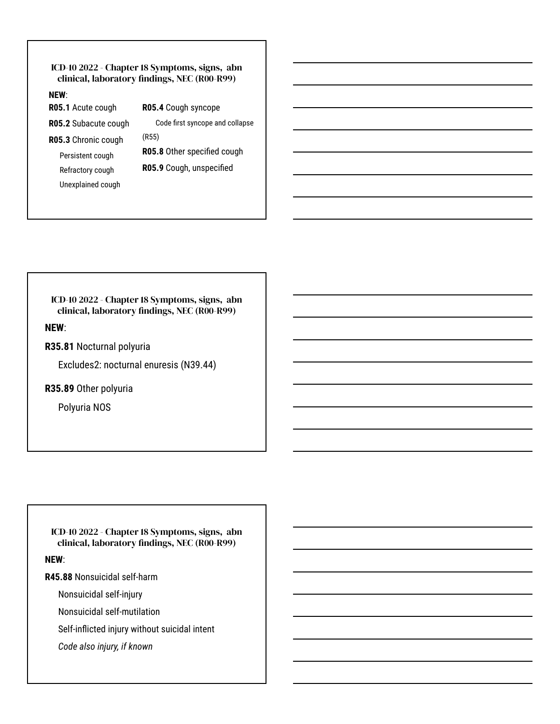#### ICD-10 2022 - Chapter 18 Symptoms, signs, abn clinical, laboratory findings, NEC (R00-R99)

#### **NEW**:

**R05.1** Acute cough **R05.2** Subacute cough

**R05.3** Chronic cough Persistent cough Refractory cough Unexplained cough

**R05.4** Cough syncope Code first syncope and collapse (R55) **R05.8** Other specified cough **R05.9** Cough, unspecified

ICD-10 2022 - Chapter 18 Symptoms, signs, abn clinical, laboratory findings, NEC (R00-R99)

### **NEW**:

**R35.81** Nocturnal polyuria

Excludes2: nocturnal enuresis (N39.44)

**R35.89** Other polyuria

Polyuria NOS

ICD-10 2022 - Chapter 18 Symptoms, signs, abn clinical, laboratory findings, NEC (R00-R99)

**NEW**:

**R45.88** Nonsuicidal self-harm

Nonsuicidal self-injury

Nonsuicidal self-mutilation

Self-inflicted injury without suicidal intent

*Code also injury, if known*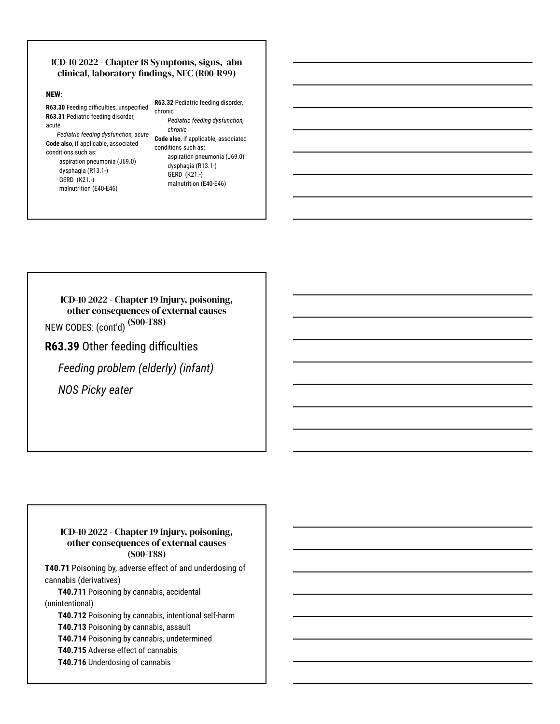#### ICD-10 2022 - Chapter 18 Symptoms, signs, abn clinical, laboratory findings, NEC (R00-R99)

#### **NEW**:

**R63.30** Feeding difficulties, unspecified **R63.31** Pediatric feeding disorder, acute

*Pediatric feeding dysfunction, acute* **Code also**, if applicable, associated conditions such as:

aspiration pneumonia (J69.0) dysphagia (R13.1-) GERD (K21.-) malnutrition (E40-E46)

**R63.32** Pediatric feeding disorder, chronic

*Pediatric feeding dysfunction, chronic*

**Code also**, if applicable, associated conditions such as: aspiration pneumonia (J69.0) dysphagia (R13.1-) GERD (K21.-) malnutrition (E40-E46)

NEW CODES: (cont'd) (S00-T88) ICD-10 2022 - Chapter 19 Injury, poisoning, other consequences of external causes

**R63.39** Other feeding difficulties

*Feeding problem (elderly) (infant)*

*NOS Picky eater*

#### ICD-10 2022 - Chapter 19 Injury, poisoning, other consequences of external causes (S00-T88)

**T40.71** Poisoning by, adverse effect of and underdosing of cannabis (derivatives)

**T40.711** Poisoning by cannabis, accidental (unintentional)

**T40.712** Poisoning by cannabis, intentional self-harm **T40.713** Poisoning by cannabis, assault **T40.714** Poisoning by cannabis, undetermined **T40.715** Adverse effect of cannabis **T40.716** Underdosing of cannabis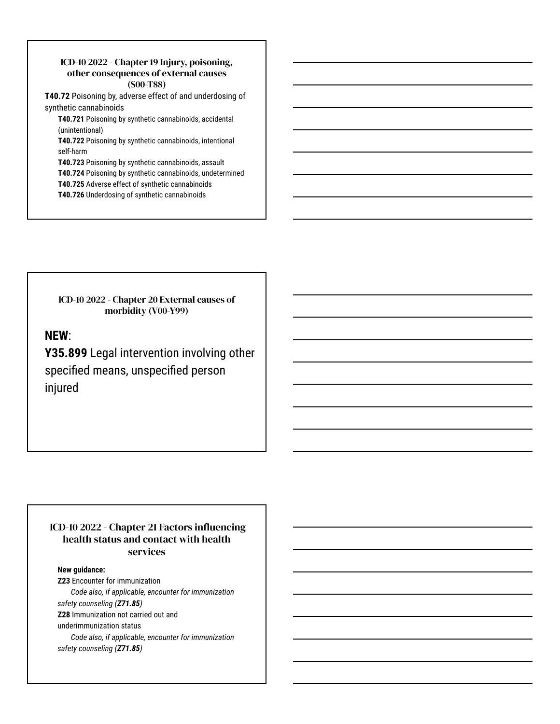#### ICD-10 2022 - Chapter 19 Injury, poisoning, other consequences of external causes (S00-T88)

**T40.72** Poisoning by, adverse effect of and underdosing of synthetic cannabinoids

**T40.721** Poisoning by synthetic cannabinoids, accidental (unintentional)

**T40.722** Poisoning by synthetic cannabinoids, intentional self-harm

**T40.723** Poisoning by synthetic cannabinoids, assault **T40.724** Poisoning by synthetic cannabinoids, undetermined **T40.725** Adverse effect of synthetic cannabinoids

**T40.726** Underdosing of synthetic cannabinoids

ICD-10 2022 - Chapter 20 External causes of morbidity (V00-Y99)

# **NEW**:

**Y35.899** Legal intervention involving other specified means, unspecified person injured

### ICD-10 2022 - Chapter 21 Factors influencing health status and contact with health services

#### **New guidance:**

**Z23** Encounter for immunization *Code also, if applicable, encounter for immunization safety counseling (Z71.85)* **Z28** Immunization not carried out and underimmunization status *Code also, if applicable, encounter for immunization* 

*safety counseling (Z71.85)*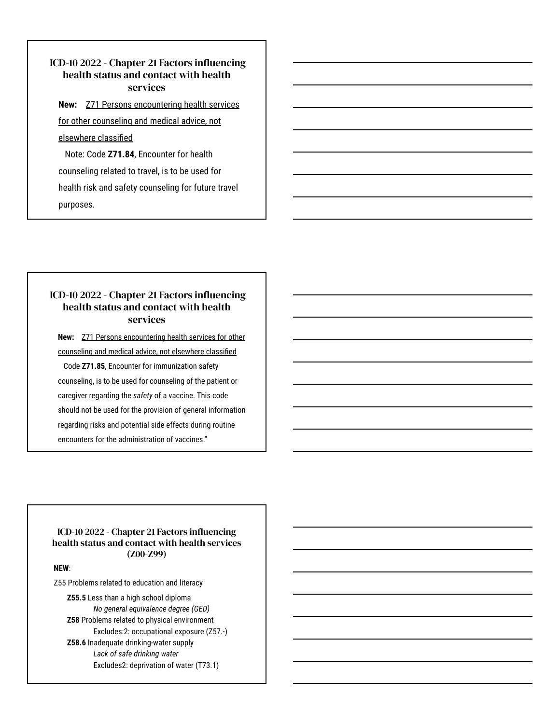# ICD-10 2022 - Chapter 21 Factors influencing health status and contact with health services

#### **New:** [Z71 Persons encountering health services](https://www.icd10data.com/ICD10CM/Codes/Z00-Z99/Z69-Z76/Z71-)

[for other counseling and medical advice, not](https://www.icd10data.com/ICD10CM/Codes/Z00-Z99/Z69-Z76/Z71-)

#### [elsewhere classified](https://www.icd10data.com/ICD10CM/Codes/Z00-Z99/Z69-Z76/Z71-)

 Note: Code **Z71.84**, Encounter for health counseling related to travel, is to be used for health risk and safety counseling for future travel purposes.

# ICD-10 2022 - Chapter 21 Factors influencing health status and contact with health services

**New:** [Z71 Persons encountering health services for other](https://www.icd10data.com/ICD10CM/Codes/Z00-Z99/Z69-Z76/Z71-) [counseling and medical advice, not elsewhere classified](https://www.icd10data.com/ICD10CM/Codes/Z00-Z99/Z69-Z76/Z71-) Code **Z71.85**, Encounter for immunization safety counseling, is to be used for counseling of the patient or caregiver regarding the *safety* of a vaccine. This code should not be used for the provision of general information regarding risks and potential side effects during routine encounters for the administration of vaccines."

#### ICD-10 2022 - Chapter 21 Factors influencing health status and contact with health services (Z00-Z99)

**NEW**:

Z55 Problems related to education and literacy

**Z55.5** Less than a high school diploma *No general equivalence degree (GED)* **Z58** Problems related to physical environment Excludes:2: occupational exposure (Z57.-) **Z58.6** Inadequate drinking-water supply *Lack of safe drinking water* Excludes2: deprivation of water (T73.1)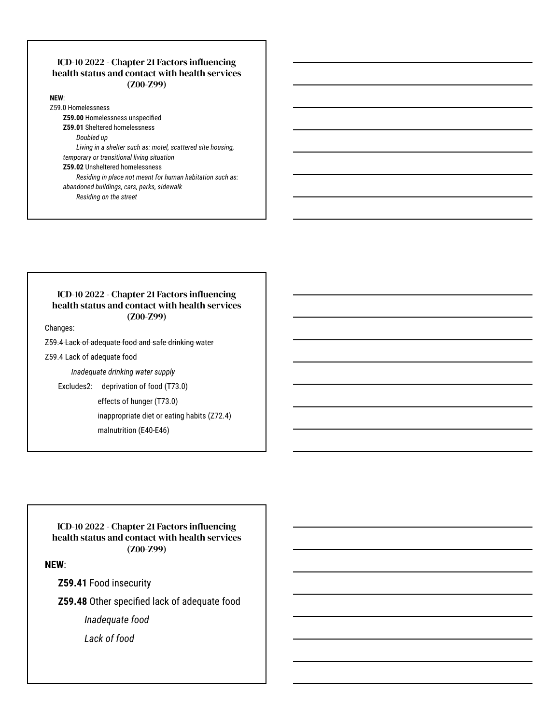#### ICD-10 2022 - Chapter 21 Factors influencing health status and contact with health services (Z00-Z99)

**NEW**: Z59.0 Homelessness

**Z59.00** Homelessness unspecified **Z59.01** Sheltered homelessness

*Doubled up*

*Living in a shelter such as: motel, scattered site housing, temporary or transitional living situation*

**Z59.02** Unsheltered homelessness

*Residing in place not meant for human habitation such as: abandoned buildings, cars, parks, sidewalk*

*Residing on the street*

#### ICD-10 2022 - Chapter 21 Factors influencing health status and contact with health services (Z00-Z99)

Changes:

Z59.4 Lack of adequate food and safe drinking water

Z59.4 Lack of adequate food

*Inadequate drinking water supply*

Excludes2: deprivation of food (T73.0)

effects of hunger (T73.0)

inappropriate diet or eating habits (Z72.4)

malnutrition (E40-E46)

ICD-10 2022 - Chapter 21 Factors influencing health status and contact with health services (Z00-Z99)

**NEW**:

**Z59.41** Food insecurity

**Z59.48** Other specified lack of adequate food

*Inadequate food* 

*Lack of food*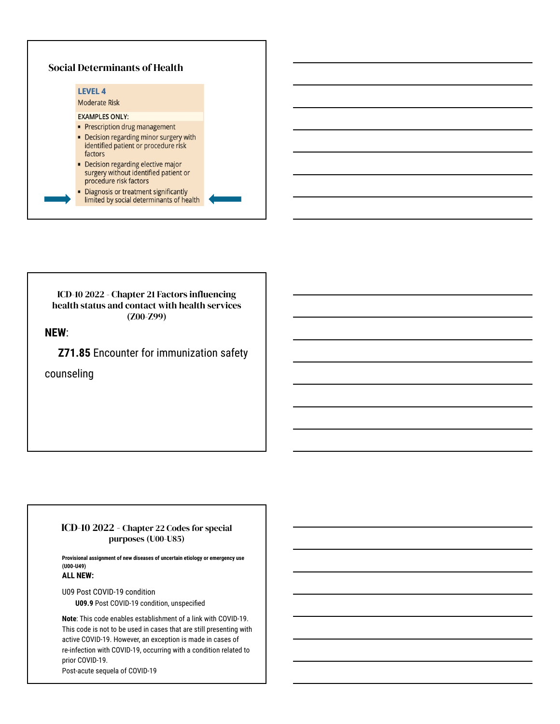

ICD-10 2022 - Chapter 21 Factors influencing health status and contact with health services (Z00-Z99)

**NEW**:

**Z71.85** Encounter for immunization safety

counseling

#### ICD-10 2022 - Chapter 22 Codes for special purposes (U00-U85)

**Provisional assignment of new diseases of uncertain etiology or emergency use (U00-U49) ALL NEW:** 

U09 Post COVID-19 condition

**U09.9** Post COVID-19 condition, unspecified

**Note**: This code enables establishment of a link with COVID-19. This code is not to be used in cases that are still presenting with active COVID-19. However, an exception is made in cases of re-infection with COVID-19, occurring with a condition related to prior COVID-19. Post-acute sequela of COVID-19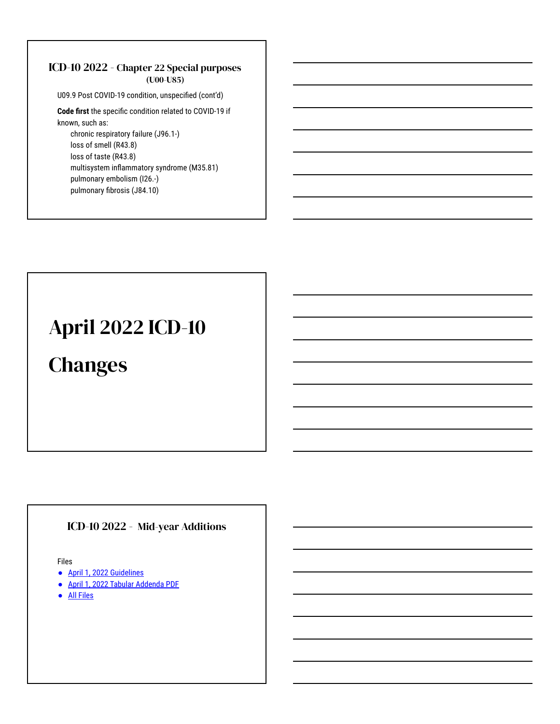### ICD-10 2022 - Chapter 22 Special purposes (U00-U85)

U09.9 Post COVID-19 condition, unspecified (cont'd)

**Code first** the specific condition related to COVID-19 if known, such as:

chronic respiratory failure (J96.1-) loss of smell (R43.8) loss of taste (R43.8) multisystem inflammatory syndrome (M35.81) pulmonary embolism (I26.-) pulmonary fibrosis (J84.10)

# April 2022 ICD-10

# **Changes**

# ICD-10 2022 - Mid-year Additions

Files

- [April 1, 2022 Guidelines](https://ftp.cdc.gov/pub/Health_Statistics/NCHS/Publications/ICD10CM/2022/10cmguidelines-FY2022-April-1-update.pdf)
- [April 1, 2022 Tabular Addenda PDF](https://ftp.cdc.gov/pub/Health_Statistics/NCHS/Publications/ICD10CM/2022/icd10cm-tabular-addenda-2022-April-1.pdf)
- **[All Files](https://ftp.cdc.gov/pub/Health_Statistics/NCHS/Publications/ICD10CM/2022/)**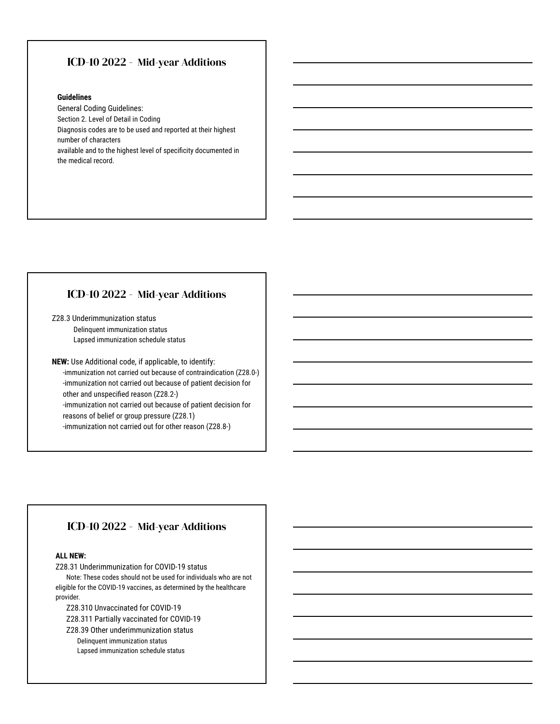### ICD-10 2022 - Mid-year Additions

#### **Guidelines**

General Coding Guidelines: Section 2. Level of Detail in Coding Diagnosis codes are to be used and reported at their highest number of characters available and to the highest level of specificity documented in the medical record.

### ICD-10 2022 - Mid-year Additions

Z28.3 Underimmunization status Delinquent immunization status Lapsed immunization schedule status

**NEW:** Use Additional code, if applicable, to identify: -immunization not carried out because of contraindication (Z28.0-) -immunization not carried out because of patient decision for other and unspecified reason (Z28.2-) -immunization not carried out because of patient decision for reasons of belief or group pressure (Z28.1) -immunization not carried out for other reason (Z28.8-)

### ICD-10 2022 - Mid-year Additions

#### **ALL NEW:**

Z28.31 Underimmunization for COVID-19 status

Note: These codes should not be used for individuals who are not eligible for the COVID-19 vaccines, as determined by the healthcare provider.

Z28.310 Unvaccinated for COVID-19

Z28.311 Partially vaccinated for COVID-19

Z28.39 Other underimmunization status

Delinquent immunization status Lapsed immunization schedule status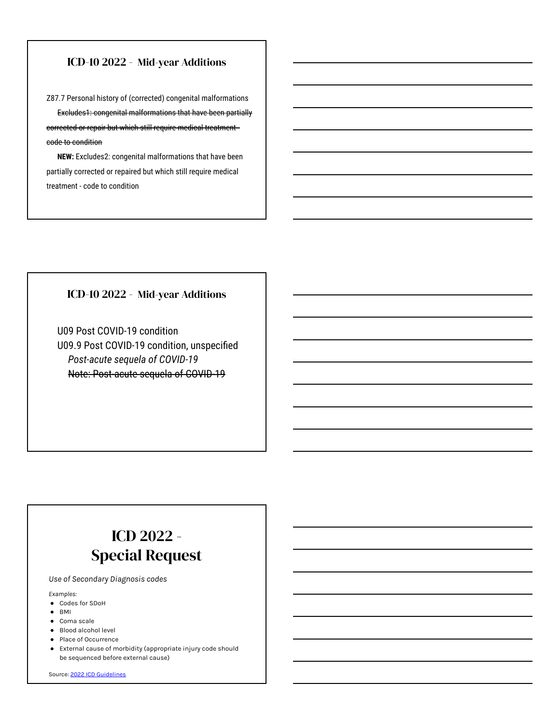# ICD-10 2022 - Mid-year Additions

Z87.7 Personal history of (corrected) congenital malformations Excludes1: congenital malformations that have been partially corrected or repair but which still require medical treatment code to condition

**NEW:** Excludes2: congenital malformations that have been partially corrected or repaired but which still require medical treatment - code to condition

### ICD-10 2022 - Mid-year Additions

U09 Post COVID-19 condition U09.9 Post COVID-19 condition, unspecified *Post-acute sequela of COVID-19*  Note: Post-acute sequela of COVID-19

# ICD 2022 - Special Request

*Use of Secondary Diagnosis codes*

*Examples:* 

- Codes for SDoH
- BMI
- Coma scale
- Blood alcohol level
- Place of Occurrence
- External cause of morbidity (appropriate injury code should be sequenced before external cause)

Source: [2022 ICD Guidelines](https://ftp.cdc.gov/pub/Health_Statistics/NCHS/Publications/ICD10CM/2022/10cmguidelines-FY2022-April-1-update.pdf)